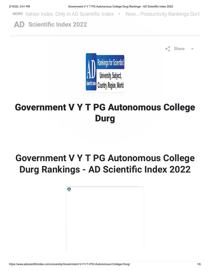NEWS tiation Index. Only in AD Scientific Index • New... Productivity Rankings Sort

AD [Scientific Index 2022](https://www.adscientificindex.com/)



Share

# Government V Y T PG Autonomous College Durg

# Government V Y T PG Autonomous College Durg Rankings - AD Scientific Index 2022

| $\Theta$ |  |  |  |
|----------|--|--|--|
|          |  |  |  |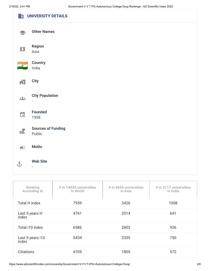|                                            | <b>ED UNIVERSITY DETAILS</b>                       |
|--------------------------------------------|----------------------------------------------------|
|                                            | <b>Other Names</b>                                 |
| $\mathbf D$                                | <b>Region</b><br>Asia                              |
| $\bullet$                                  | <b>Country</b><br>India                            |
| $\mathbf{N}$                               | <b>City</b>                                        |
| 221                                        | <b>City Population</b><br>$\overline{\phantom{a}}$ |
| $\Box$                                     | <b>Founded</b><br>1958                             |
| IE.                                        | <b>Sources of Funding</b><br>Public                |
| $\P\left(\frac{\epsilon}{\epsilon}\right)$ | <b>Motto</b>                                       |
| $\hat{\mathbf{t}}$                         | <b>Web Site</b><br>$\overline{\phantom{a}}$        |
|                                            |                                                    |

| Ranking<br><b>According to</b> | $#$ in 14439 universities<br>in World | $#$ in 6655 universities<br>in Asia | # in 2117 universities<br>in India |
|--------------------------------|---------------------------------------|-------------------------------------|------------------------------------|
| <b>Total H index</b>           | 7959                                  | 3426                                | 1008                               |
| Last 5 years H<br>index        | 4761                                  | 2014                                | 641                                |
| Total i10 index                | 6586                                  | 2803                                | 926                                |
| Last 5 years i10<br>index      | 5434                                  | 2335                                | 750                                |
| <b>Citiations</b>              | 4705                                  | 1805                                | 572                                |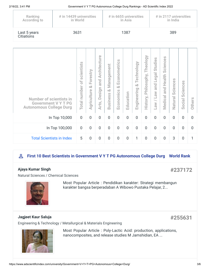| 2/16/22, 3:41 PM |  |
|------------------|--|
|                  |  |

Government V Y T PG Autonomous College Durg Rankings - AD Scientific Index 2022

| Ranking<br><b>According to</b>                                                                 | # in 14439 universities<br>in World |                                                      |                                         | # in 6655 universities<br>in Asia                                  |                                                             |                                         |                |                                 | # in 2117 universities<br>in India  |                                                     |                                      |                         |                                                                 |                |
|------------------------------------------------------------------------------------------------|-------------------------------------|------------------------------------------------------|-----------------------------------------|--------------------------------------------------------------------|-------------------------------------------------------------|-----------------------------------------|----------------|---------------------------------|-------------------------------------|-----------------------------------------------------|--------------------------------------|-------------------------|-----------------------------------------------------------------|----------------|
| Last 5 years<br>Citiations                                                                     | 3631                                |                                                      |                                         | 1387                                                               |                                                             |                                         |                | 389                             |                                     |                                                     |                                      |                         |                                                                 |                |
|                                                                                                |                                     |                                                      |                                         |                                                                    |                                                             |                                         |                |                                 |                                     |                                                     |                                      |                         |                                                                 |                |
| <b>Number of scientists in</b><br><b>Government V Y T PG</b><br><b>Autonomous College Durg</b> |                                     | scientists<br>$\overline{\sigma}$<br>number<br>Total | orestry<br>LĽ.<br>öð<br>griculture<br>⋖ | Architecture<br>and<br>ugis:<br>$\ddot{\omega}$<br>Ó<br>.rts,<br>⋖ | Management<br>öð<br>$\omega$<br>$\ddot{8}$<br><b>Busine</b> | Econometrics<br><b>o</b> ð<br>Economics | Education      | Technology<br>öð<br>Engineering | Theology<br>Philosophy,<br>History, | Studies<br>egal.<br>⊐<br>and<br>Me<br>ᆜ<br>WR.<br>⊐ | Sciences<br>Health<br>and<br>Medical | ences<br>Sci<br>Natural | ciences<br>$\overline{0}$<br>$\overline{\phantom{0}}$<br>Social | <b>Others</b>  |
| In Top 10,000                                                                                  |                                     | $\overline{0}$                                       | $\overline{0}$                          | $\overline{0}$                                                     | $\overline{0}$                                              | $\overline{0}$                          | $\overline{0}$ | $\overline{0}$                  | $\overline{0}$                      | $\overline{0}$                                      | $\overline{0}$                       | $\overline{0}$          | $\overline{0}$                                                  | $\overline{0}$ |
| In Top 100,000                                                                                 |                                     | $\overline{0}$                                       | $\overline{0}$                          | $\overline{0}$                                                     | $\overline{0}$                                              | $\overline{0}$                          | $\overline{0}$ | $\overline{0}$                  | $\overline{0}$                      | $\overline{0}$                                      | $\overline{0}$                       | $\overline{0}$          | $\overline{0}$                                                  | $\overline{0}$ |
| <b>Total Scientists in Index</b>                                                               |                                     | 5                                                    | $\overline{0}$                          | $\overline{0}$                                                     | $\overline{0}$                                              | $\mathbf 0$                             | $\mathbf 0$    | 1                               | $\overline{0}$                      | $\overline{0}$                                      | $\overline{0}$                       | 3                       | $\overline{0}$                                                  | 1              |

## **Person 10 Best Scientists in Government V Y T PG Autonomous College Durg World Rank**

#### [Ajaya Kumar Singh](https://www.adscientificindex.com/scientist.php?id=299197)

## #237172

#255631

[Natural Sciences / Chemical Sciences](https://www.adscientificindex.com/university/Government+V+Y+T+PG+Autonomous+College+Durg/)



Most Popular Article : Pendidikan karakter: Strategi membangun karakter bangsa berperadaban A Wibowo Pustaka Pelajar, 2...

## [Jagjeet Kaur Saluja](https://www.adscientificindex.com/scientist.php?id=334175)

[Engineering & Technology / Metallurgical & Materials Engineering](https://www.adscientificindex.com/university/Government+V+Y+T+PG+Autonomous+College+Durg/)



Most Popular Article : Poly‐Lactic Acid: production, applications, nanocomposites, and release studies M Jamshidian, EA ...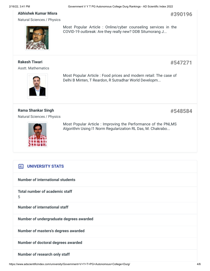Most Popular Article : Online/cyber counseling services in the COVID-19 outbreak: Are they really new? DDB Situmorang J...

#### [Abhishek Kumar Misra](https://www.adscientificindex.com/scientist.php?id=301129)

[Natural Sciences / Physics](https://www.adscientificindex.com/university/Government+V+Y+T+PG+Autonomous+College+Durg/)



### [Rakesh Tiwari](https://www.adscientificindex.com/scientist.php?id=2004339)

[Asstt. Mathematics](https://www.adscientificindex.com/university/Government+V+Y+T+PG+Autonomous+College+Durg/)



Most Popular Article : Food prices and modern retail: The case of Delhi B Minten, T Reardon, R Sutradhar World Developm...

[Rama Shankar Singh](https://www.adscientificindex.com/scientist.php?id=2004344) [Natural Sciences / Physics](https://www.adscientificindex.com/university/Government+V+Y+T+PG+Autonomous+College+Durg/) #548584

#390196

#547271



Most Popular Article : Improving the Performance of the PNLMS Algorithm Using l1 Norm Regularization RL Das, M. Chakrabo...

# **IIII** UNIVERSITY STATS

Number of international students

Total number of academic staff 5

Number of international staff

Number of undergraduate degrees awarded

Number of masters's degrees awarded

Number of doctoral degrees awarded

Number of research only staff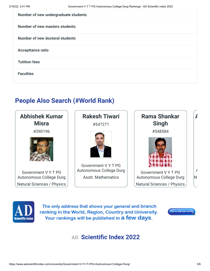| Number of new undergraduate students  |
|---------------------------------------|
| <b>Number of new masters students</b> |
| Number of new doctoral students       |
| <b>Accepttance ratio</b>              |
| <b>Tutition fees</b>                  |
| <b>Faculties</b>                      |

# People Also Search (#World Rank)





The only address that shows your general and branch ranking in the World, Region, Country and University. Your rankings will be published in a few days.



# AD [Scientific Index 2022](https://www.adscientificindex.com/)